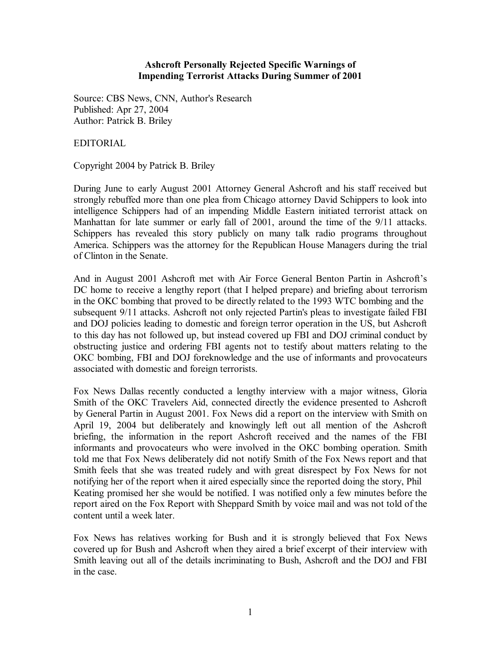## **Ashcroft Personally Rejected Specific Warnings of Impending Terrorist Attacks During Summer of 2001**

Source: CBS News, CNN, Author's Research Published: Apr 27, 2004 Author: Patrick B. Briley

EDITORIAL

Copyright 2004 by Patrick B. Briley

During June to early August 2001 Attorney General Ashcroft and his staff received but strongly rebuffed more than one plea from Chicago attorney David Schippers to look into intelligence Schippers had of an impending Middle Eastern initiated terrorist attack on Manhattan for late summer or early fall of 2001, around the time of the 9/11 attacks. Schippers has revealed this story publicly on many talk radio programs throughout America. Schippers was the attorney for the Republican House Managers during the trial of Clinton in the Senate.

And in August 2001 Ashcroft met with Air Force General Benton Partin in Ashcroft's DC home to receive a lengthy report (that I helped prepare) and briefing about terrorism in the OKC bombing that proved to be directly related to the 1993 WTC bombing and the subsequent 9/11 attacks. Ashcroft not only rejected Partin's pleas to investigate failed FBI and DOJ policies leading to domestic and foreign terror operation in the US, but Ashcroft to this day has not followed up, but instead covered up FBI and DOJ criminal conduct by obstructing justice and ordering FBI agents not to testify about matters relating to the OKC bombing, FBI and DOJ foreknowledge and the use of informants and provocateurs associated with domestic and foreign terrorists.

Fox News Dallas recently conducted a lengthy interview with a major witness, Gloria Smith of the OKC Travelers Aid, connected directly the evidence presented to Ashcroft by General Partin in August 2001. Fox News did a report on the interview with Smith on April 19, 2004 but deliberately and knowingly left out all mention of the Ashcroft briefing, the information in the report Ashcroft received and the names of the FBI informants and provocateurs who were involved in the OKC bombing operation. Smith told me that Fox News deliberately did not notify Smith of the Fox News report and that Smith feels that she was treated rudely and with great disrespect by Fox News for not notifying her of the report when it aired especially since the reported doing the story, Phil Keating promised her she would be notified. I was notified only a few minutes before the report aired on the Fox Report with Sheppard Smith by voice mail and was not told of the content until a week later.

Fox News has relatives working for Bush and it is strongly believed that Fox News covered up for Bush and Ashcroft when they aired a brief excerpt of their interview with Smith leaving out all of the details incriminating to Bush, Ashcroft and the DOJ and FBI in the case.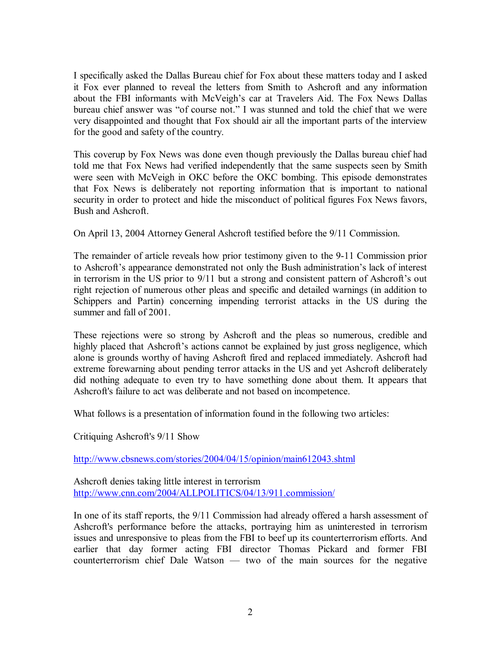I specifically asked the Dallas Bureau chief for Fox about these matters today and I asked it Fox ever planned to reveal the letters from Smith to Ashcroft and any information about the FBI informants with McVeigh's car at Travelers Aid. The Fox News Dallas bureau chief answer was "of course not." I was stunned and told the chief that we were very disappointed and thought that Fox should air all the important parts of the interview for the good and safety of the country.

This coverup by Fox News was done even though previously the Dallas bureau chief had told me that Fox News had verified independently that the same suspects seen by Smith were seen with McVeigh in OKC before the OKC bombing. This episode demonstrates that Fox News is deliberately not reporting information that is important to national security in order to protect and hide the misconduct of political figures Fox News favors, Bush and Ashcroft.

On April 13, 2004 Attorney General Ashcroft testified before the 9/11 Commission.

The remainder of article reveals how prior testimony given to the 9-11 Commission prior to Ashcroft's appearance demonstrated not only the Bush administration's lack of interest in terrorism in the US prior to 9/11 but a strong and consistent pattern of Ashcroft's out right rejection of numerous other pleas and specific and detailed warnings (in addition to Schippers and Partin) concerning impending terrorist attacks in the US during the summer and fall of 2001.

These rejections were so strong by Ashcroft and the pleas so numerous, credible and highly placed that Ashcroft's actions cannot be explained by just gross negligence, which alone is grounds worthy of having Ashcroft fired and replaced immediately. Ashcroft had extreme forewarning about pending terror attacks in the US and yet Ashcroft deliberately did nothing adequate to even try to have something done about them. It appears that Ashcroft's failure to act was deliberate and not based on incompetence.

What follows is a presentation of information found in the following two articles:

Critiquing Ashcroft's 9/11 Show

<http://www.cbsnews.com/stories/2004/04/15/opinion/main612043.shtml>

Ashcroft denies taking little interest in terrorism <http://www.cnn.com/2004/ALLPOLITICS/04/13/911.commission/>

In one of its staff reports, the 9/11 Commission had already offered a harsh assessment of Ashcroft's performance before the attacks, portraying him as uninterested in terrorism issues and unresponsive to pleas from the FBI to beef up its counterterrorism efforts. And earlier that day former acting FBI director Thomas Pickard and former FBI counterterrorism chief Dale Watson — two of the main sources for the negative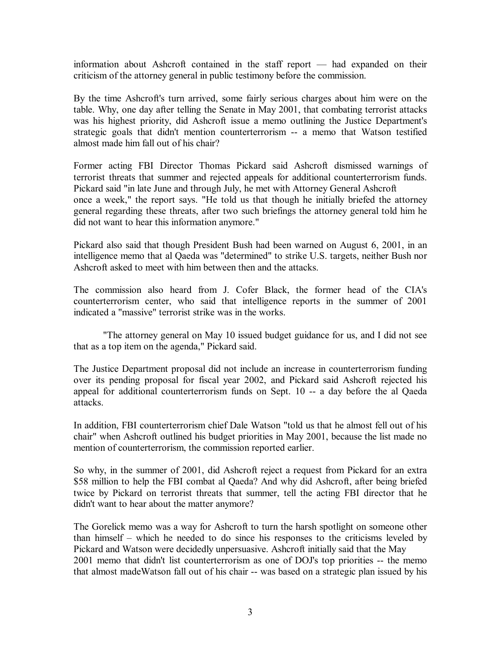information about Ashcroft contained in the staff report — had expanded on their criticism of the attorney general in public testimony before the commission.

By the time Ashcroft's turn arrived, some fairly serious charges about him were on the table. Why, one day after telling the Senate in May 2001, that combating terrorist attacks was his highest priority, did Ashcroft issue a memo outlining the Justice Department's strategic goals that didn't mention counterterrorism -- a memo that Watson testified almost made him fall out of his chair?

Former acting FBI Director Thomas Pickard said Ashcroft dismissed warnings of terrorist threats that summer and rejected appeals for additional counterterrorism funds. Pickard said "in late June and through July, he met with Attorney General Ashcroft once a week," the report says. "He told us that though he initially briefed the attorney general regarding these threats, after two such briefings the attorney general told him he did not want to hear this information anymore."

Pickard also said that though President Bush had been warned on August 6, 2001, in an intelligence memo that al Qaeda was "determined" to strike U.S. targets, neither Bush nor Ashcroft asked to meet with him between then and the attacks.

The commission also heard from J. Cofer Black, the former head of the CIA's counterterrorism center, who said that intelligence reports in the summer of 2001 indicated a "massive" terrorist strike was in the works.

"The attorney general on May 10 issued budget guidance for us, and I did not see that as a top item on the agenda," Pickard said.

The Justice Department proposal did not include an increase in counterterrorism funding over its pending proposal for fiscal year 2002, and Pickard said Ashcroft rejected his appeal for additional counterterrorism funds on Sept. 10 -- a day before the al Qaeda attacks.

In addition, FBI counterterrorism chief Dale Watson "told us that he almost fell out of his chair" when Ashcroft outlined his budget priorities in May 2001, because the list made no mention of counterterrorism, the commission reported earlier.

So why, in the summer of 2001, did Ashcroft reject a request from Pickard for an extra \$58 million to help the FBI combat al Qaeda? And why did Ashcroft, after being briefed twice by Pickard on terrorist threats that summer, tell the acting FBI director that he didn't want to hear about the matter anymore?

The Gorelick memo was a way for Ashcroft to turn the harsh spotlight on someone other than himself – which he needed to do since his responses to the criticisms leveled by Pickard and Watson were decidedly unpersuasive. Ashcroft initially said that the May 2001 memo that didn't list counterterrorism as one of DOJ's top priorities -- the memo that almost madeWatson fall out of his chair -- was based on a strategic plan issued by his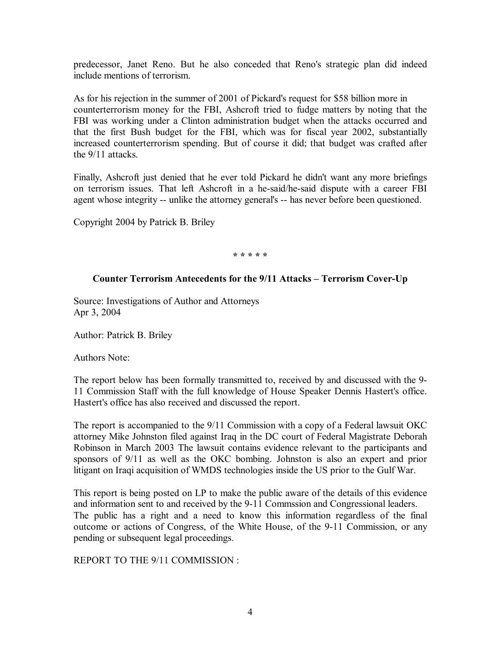predecessor, Janet Reno. But he also conceded that Reno's strategic plan did indeed include mentions of terrorism.

As for his rejection in the summer of 2001 of Pickard's request for \$58 billion more in counterterrorism money for the FBI, Ashcroft tried to fudge matters by noting that the FBI was working under a Clinton administration budget when the attacks occurred and that the first Bush budget for the FBI, which was for fiscal year 2002, substantially increased counterterrorism spending. But of course it did; that budget was crafted after the 9/11 attacks.

Finally, Ashcroft just denied that he ever told Pickard he didn't want any more briefings on terrorism issues. That left Ashcroft in a he-said/he-said dispute with a career FBI agent whose integrity -- unlike the attorney general's -- has never before been questioned.

Copyright 2004 by Patrick B. Briley

**\* \* \* \* \*** 

## **Counter Terrorism Antecedents for the 9/11 Attacks – Terrorism Cover-Up**

Source: Investigations of Author and Attorneys Apr 3, 2004

Author: Patrick B. Briley

Authors Note:

The report below has been formally transmitted to, received by and discussed with the 9- 11 Commission Staff with the full knowledge of House Speaker Dennis Hastert's office. Hastert's office has also received and discussed the report.

The report is accompanied to the 9/11 Commission with a copy of a Federal lawsuit OKC attorney Mike Johnston filed against Iraq in the DC court of Federal Magistrate Deborah Robinson in March 2003 The lawsuit contains evidence relevant to the participants and sponsors of 9/11 as well as the OKC bombing. Johnston is also an expert and prior litigant on Iraqi acquisition of WMDS technologies inside the US prior to the Gulf War.

This report is being posted on LP to make the public aware of the details of this evidence and information sent to and received by the 9-11 Commssion and Congressional leaders. The public has a right and a need to know this information regardless of the final outcome or actions of Congress, of the White House, of the 9-11 Commission, or any pending or subsequent legal proceedings.

REPORT TO THE 9/11 COMMISSION :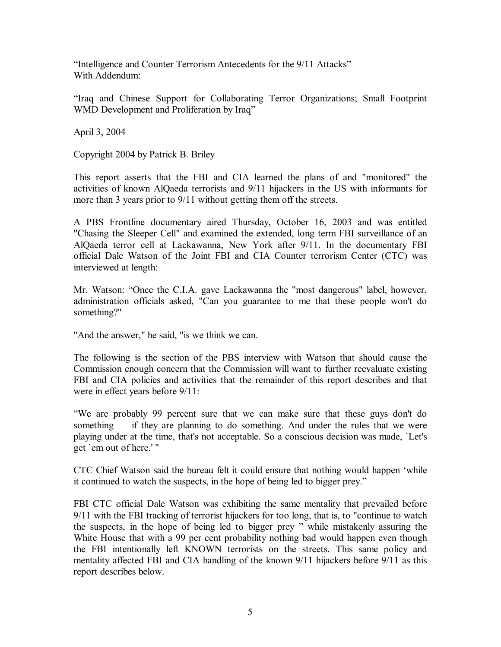"Intelligence and Counter Terrorism Antecedents for the 9/11 Attacks" With Addendum:

"Iraq and Chinese Support for Collaborating Terror Organizations; Small Footprint WMD Development and Proliferation by Iraq"

April 3, 2004

Copyright 2004 by Patrick B. Briley

This report asserts that the FBI and CIA learned the plans of and "monitored" the activities of known AlQaeda terrorists and 9/11 hijackers in the US with informants for more than 3 years prior to 9/11 without getting them off the streets.

A PBS Frontline documentary aired Thursday, October 16, 2003 and was entitled "Chasing the Sleeper Cell" and examined the extended, long term FBI surveillance of an AlQaeda terror cell at Lackawanna, New York after 9/11. In the documentary FBI official Dale Watson of the Joint FBI and CIA Counter terrorism Center (CTC) was interviewed at length:

Mr. Watson: "Once the C.I.A. gave Lackawanna the "most dangerous" label, however, administration officials asked, "Can you guarantee to me that these people won't do something?"

"And the answer," he said, "is we think we can.

The following is the section of the PBS interview with Watson that should cause the Commission enough concern that the Commission will want to further reevaluate existing FBI and CIA policies and activities that the remainder of this report describes and that were in effect years before 9/11:

"We are probably 99 percent sure that we can make sure that these guys don't do something — if they are planning to do something. And under the rules that we were playing under at the time, that's not acceptable. So a conscious decision was made, `Let's get `em out of here.' "

CTC Chief Watson said the bureau felt it could ensure that nothing would happen 'while it continued to watch the suspects, in the hope of being led to bigger prey."

FBI CTC official Dale Watson was exhibiting the same mentality that prevailed before 9/11 with the FBI tracking of terrorist hijackers for too long, that is, to "continue to watch the suspects, in the hope of being led to bigger prey " while mistakenly assuring the White House that with a 99 per cent probability nothing bad would happen even though the FBI intentionally left KNOWN terrorists on the streets. This same policy and mentality affected FBI and CIA handling of the known 9/11 hijackers before 9/11 as this report describes below.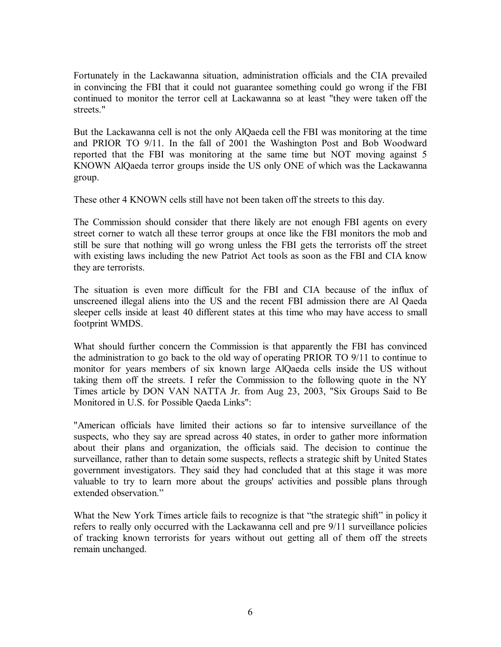Fortunately in the Lackawanna situation, administration officials and the CIA prevailed in convincing the FBI that it could not guarantee something could go wrong if the FBI continued to monitor the terror cell at Lackawanna so at least "they were taken off the streets."

But the Lackawanna cell is not the only AlQaeda cell the FBI was monitoring at the time and PRIOR TO 9/11. In the fall of 2001 the Washington Post and Bob Woodward reported that the FBI was monitoring at the same time but NOT moving against 5 KNOWN AlQaeda terror groups inside the US only ONE of which was the Lackawanna group.

These other 4 KNOWN cells still have not been taken off the streets to this day.

The Commission should consider that there likely are not enough FBI agents on every street corner to watch all these terror groups at once like the FBI monitors the mob and still be sure that nothing will go wrong unless the FBI gets the terrorists off the street with existing laws including the new Patriot Act tools as soon as the FBI and CIA know they are terrorists.

The situation is even more difficult for the FBI and CIA because of the influx of unscreened illegal aliens into the US and the recent FBI admission there are Al Qaeda sleeper cells inside at least 40 different states at this time who may have access to small footprint WMDS.

What should further concern the Commission is that apparently the FBI has convinced the administration to go back to the old way of operating PRIOR TO 9/11 to continue to monitor for years members of six known large AlQaeda cells inside the US without taking them off the streets. I refer the Commission to the following quote in the NY Times article by DON VAN NATTA Jr. from Aug 23, 2003, "Six Groups Said to Be Monitored in U.S. for Possible Qaeda Links":

"American officials have limited their actions so far to intensive surveillance of the suspects, who they say are spread across 40 states, in order to gather more information about their plans and organization, the officials said. The decision to continue the surveillance, rather than to detain some suspects, reflects a strategic shift by United States government investigators. They said they had concluded that at this stage it was more valuable to try to learn more about the groups' activities and possible plans through extended observation."

What the New York Times article fails to recognize is that "the strategic shift" in policy it refers to really only occurred with the Lackawanna cell and pre 9/11 surveillance policies of tracking known terrorists for years without out getting all of them off the streets remain unchanged.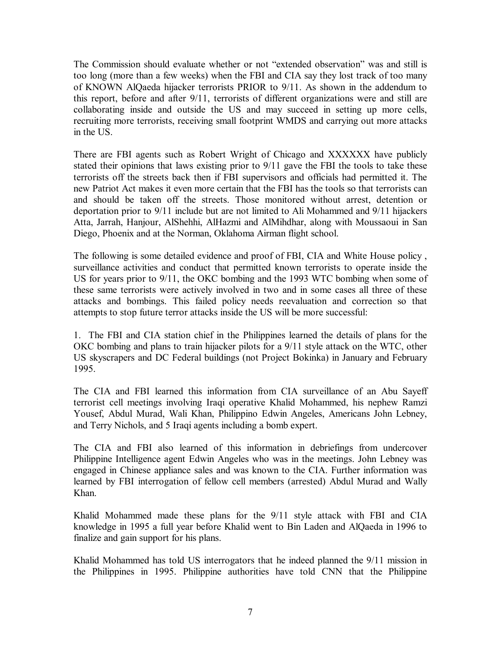The Commission should evaluate whether or not "extended observation" was and still is too long (more than a few weeks) when the FBI and CIA say they lost track of too many of KNOWN AlQaeda hijacker terrorists PRIOR to 9/11. As shown in the addendum to this report, before and after 9/11, terrorists of different organizations were and still are collaborating inside and outside the US and may succeed in setting up more cells, recruiting more terrorists, receiving small footprint WMDS and carrying out more attacks in the US.

There are FBI agents such as Robert Wright of Chicago and XXXXXX have publicly stated their opinions that laws existing prior to 9/11 gave the FBI the tools to take these terrorists off the streets back then if FBI supervisors and officials had permitted it. The new Patriot Act makes it even more certain that the FBI has the tools so that terrorists can and should be taken off the streets. Those monitored without arrest, detention or deportation prior to 9/11 include but are not limited to Ali Mohammed and 9/11 hijackers Atta, Jarrah, Hanjour, AlShehhi, AlHazmi and AlMihdhar, along with Moussaoui in San Diego, Phoenix and at the Norman, Oklahoma Airman flight school.

The following is some detailed evidence and proof of FBI, CIA and White House policy , surveillance activities and conduct that permitted known terrorists to operate inside the US for years prior to 9/11, the OKC bombing and the 1993 WTC bombing when some of these same terrorists were actively involved in two and in some cases all three of these attacks and bombings. This failed policy needs reevaluation and correction so that attempts to stop future terror attacks inside the US will be more successful:

1. The FBI and CIA station chief in the Philippines learned the details of plans for the OKC bombing and plans to train hijacker pilots for a 9/11 style attack on the WTC, other US skyscrapers and DC Federal buildings (not Project Bokinka) in January and February 1995.

The CIA and FBI learned this information from CIA surveillance of an Abu Sayeff terrorist cell meetings involving Iraqi operative Khalid Mohammed, his nephew Ramzi Yousef, Abdul Murad, Wali Khan, Philippino Edwin Angeles, Americans John Lebney, and Terry Nichols, and 5 Iraqi agents including a bomb expert.

The CIA and FBI also learned of this information in debriefings from undercover Philippine Intelligence agent Edwin Angeles who was in the meetings. John Lebney was engaged in Chinese appliance sales and was known to the CIA. Further information was learned by FBI interrogation of fellow cell members (arrested) Abdul Murad and Wally Khan.

Khalid Mohammed made these plans for the 9/11 style attack with FBI and CIA knowledge in 1995 a full year before Khalid went to Bin Laden and AlQaeda in 1996 to finalize and gain support for his plans.

Khalid Mohammed has told US interrogators that he indeed planned the 9/11 mission in the Philippines in 1995. Philippine authorities have told CNN that the Philippine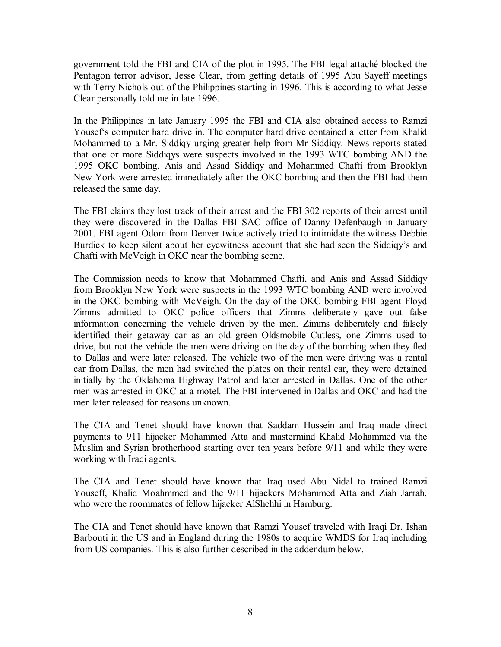government told the FBI and CIA of the plot in 1995. The FBI legal attaché blocked the Pentagon terror advisor, Jesse Clear, from getting details of 1995 Abu Sayeff meetings with Terry Nichols out of the Philippines starting in 1996. This is according to what Jesse Clear personally told me in late 1996.

In the Philippines in late January 1995 the FBI and CIA also obtained access to Ramzi Yousef's computer hard drive in. The computer hard drive contained a letter from Khalid Mohammed to a Mr. Siddiqy urging greater help from Mr Siddiqy. News reports stated that one or more Siddiqys were suspects involved in the 1993 WTC bombing AND the 1995 OKC bombing. Anis and Assad Siddiqy and Mohammed Chafti from Brooklyn New York were arrested immediately after the OKC bombing and then the FBI had them released the same day.

The FBI claims they lost track of their arrest and the FBI 302 reports of their arrest until they were discovered in the Dallas FBI SAC office of Danny Defenbaugh in January 2001. FBI agent Odom from Denver twice actively tried to intimidate the witness Debbie Burdick to keep silent about her eyewitness account that she had seen the Siddiqy's and Chafti with McVeigh in OKC near the bombing scene.

The Commission needs to know that Mohammed Chafti, and Anis and Assad Siddiqy from Brooklyn New York were suspects in the 1993 WTC bombing AND were involved in the OKC bombing with McVeigh. On the day of the OKC bombing FBI agent Floyd Zimms admitted to OKC police officers that Zimms deliberately gave out false information concerning the vehicle driven by the men. Zimms deliberately and falsely identified their getaway car as an old green Oldsmobile Cutless, one Zimms used to drive, but not the vehicle the men were driving on the day of the bombing when they fled to Dallas and were later released. The vehicle two of the men were driving was a rental car from Dallas, the men had switched the plates on their rental car, they were detained initially by the Oklahoma Highway Patrol and later arrested in Dallas. One of the other men was arrested in OKC at a motel. The FBI intervened in Dallas and OKC and had the men later released for reasons unknown.

The CIA and Tenet should have known that Saddam Hussein and Iraq made direct payments to 911 hijacker Mohammed Atta and mastermind Khalid Mohammed via the Muslim and Syrian brotherhood starting over ten years before 9/11 and while they were working with Iraqi agents.

The CIA and Tenet should have known that Iraq used Abu Nidal to trained Ramzi Youseff, Khalid Moahmmed and the 9/11 hijackers Mohammed Atta and Ziah Jarrah, who were the roommates of fellow hijacker AlShehhi in Hamburg.

The CIA and Tenet should have known that Ramzi Yousef traveled with Iraqi Dr. Ishan Barbouti in the US and in England during the 1980s to acquire WMDS for Iraq including from US companies. This is also further described in the addendum below.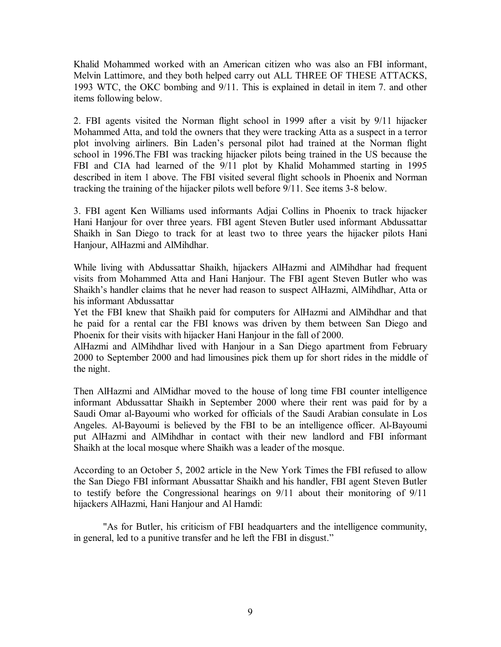Khalid Mohammed worked with an American citizen who was also an FBI informant, Melvin Lattimore, and they both helped carry out ALL THREE OF THESE ATTACKS, 1993 WTC, the OKC bombing and 9/11. This is explained in detail in item 7. and other items following below.

2. FBI agents visited the Norman flight school in 1999 after a visit by 9/11 hijacker Mohammed Atta, and told the owners that they were tracking Atta as a suspect in a terror plot involving airliners. Bin Laden's personal pilot had trained at the Norman flight school in 1996.The FBI was tracking hijacker pilots being trained in the US because the FBI and CIA had learned of the 9/11 plot by Khalid Mohammed starting in 1995 described in item 1 above. The FBI visited several flight schools in Phoenix and Norman tracking the training of the hijacker pilots well before 9/11. See items 3-8 below.

3. FBI agent Ken Williams used informants Adjai Collins in Phoenix to track hijacker Hani Hanjour for over three years. FBI agent Steven Butler used informant Abdussattar Shaikh in San Diego to track for at least two to three years the hijacker pilots Hani Hanjour, AlHazmi and AlMihdhar.

While living with Abdussattar Shaikh, hijackers AlHazmi and AlMihdhar had frequent visits from Mohammed Atta and Hani Hanjour. The FBI agent Steven Butler who was Shaikh's handler claims that he never had reason to suspect AlHazmi, AlMihdhar, Atta or his informant Abdussattar

Yet the FBI knew that Shaikh paid for computers for AlHazmi and AlMihdhar and that he paid for a rental car the FBI knows was driven by them between San Diego and Phoenix for their visits with hijacker Hani Hanjour in the fall of 2000.

AlHazmi and AlMihdhar lived with Hanjour in a San Diego apartment from February 2000 to September 2000 and had limousines pick them up for short rides in the middle of the night.

Then AlHazmi and AlMidhar moved to the house of long time FBI counter intelligence informant Abdussattar Shaikh in September 2000 where their rent was paid for by a Saudi Omar al-Bayoumi who worked for officials of the Saudi Arabian consulate in Los Angeles. Al-Bayoumi is believed by the FBI to be an intelligence officer. Al-Bayoumi put AlHazmi and AlMihdhar in contact with their new landlord and FBI informant Shaikh at the local mosque where Shaikh was a leader of the mosque.

According to an October 5, 2002 article in the New York Times the FBI refused to allow the San Diego FBI informant Abussattar Shaikh and his handler, FBI agent Steven Butler to testify before the Congressional hearings on 9/11 about their monitoring of 9/11 hijackers AlHazmi, Hani Hanjour and Al Hamdi:

"As for Butler, his criticism of FBI headquarters and the intelligence community, in general, led to a punitive transfer and he left the FBI in disgust."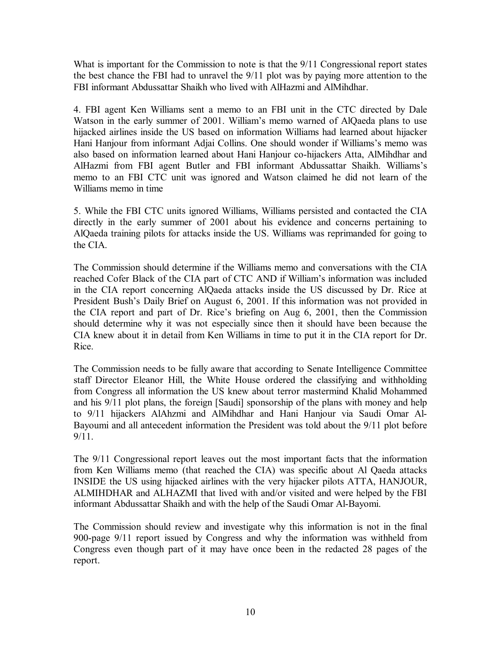What is important for the Commission to note is that the  $9/11$  Congressional report states the best chance the FBI had to unravel the 9/11 plot was by paying more attention to the FBI informant Abdussattar Shaikh who lived with AlHazmi and AlMihdhar.

4. FBI agent Ken Williams sent a memo to an FBI unit in the CTC directed by Dale Watson in the early summer of 2001. William's memo warned of AlQaeda plans to use hijacked airlines inside the US based on information Williams had learned about hijacker Hani Hanjour from informant Adjai Collins. One should wonder if Williams's memo was also based on information learned about Hani Hanjour co-hijackers Atta, AlMihdhar and AlHazmi from FBI agent Butler and FBI informant Abdussattar Shaikh. Williams's memo to an FBI CTC unit was ignored and Watson claimed he did not learn of the Williams memo in time

5. While the FBI CTC units ignored Williams, Williams persisted and contacted the CIA directly in the early summer of 2001 about his evidence and concerns pertaining to AlQaeda training pilots for attacks inside the US. Williams was reprimanded for going to the CIA.

The Commission should determine if the Williams memo and conversations with the CIA reached Cofer Black of the CIA part of CTC AND if William's information was included in the CIA report concerning AlQaeda attacks inside the US discussed by Dr. Rice at President Bush's Daily Brief on August 6, 2001. If this information was not provided in the CIA report and part of Dr. Rice's briefing on Aug 6, 2001, then the Commission should determine why it was not especially since then it should have been because the CIA knew about it in detail from Ken Williams in time to put it in the CIA report for Dr. Rice.

The Commission needs to be fully aware that according to Senate Intelligence Committee staff Director Eleanor Hill, the White House ordered the classifying and withholding from Congress all information the US knew about terror mastermind Khalid Mohammed and his 9/11 plot plans, the foreign [Saudi] sponsorship of the plans with money and help to 9/11 hijackers AlAhzmi and AlMihdhar and Hani Hanjour via Saudi Omar Al-Bayoumi and all antecedent information the President was told about the 9/11 plot before 9/11.

The 9/11 Congressional report leaves out the most important facts that the information from Ken Williams memo (that reached the CIA) was specific about Al Qaeda attacks INSIDE the US using hijacked airlines with the very hijacker pilots ATTA, HANJOUR, ALMIHDHAR and ALHAZMI that lived with and/or visited and were helped by the FBI informant Abdussattar Shaikh and with the help of the Saudi Omar Al-Bayomi.

The Commission should review and investigate why this information is not in the final 900-page 9/11 report issued by Congress and why the information was withheld from Congress even though part of it may have once been in the redacted 28 pages of the report.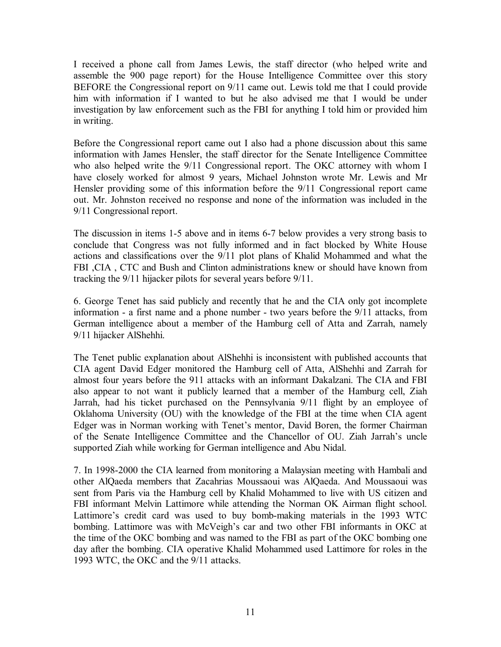I received a phone call from James Lewis, the staff director (who helped write and assemble the 900 page report) for the House Intelligence Committee over this story BEFORE the Congressional report on 9/11 came out. Lewis told me that I could provide him with information if I wanted to but he also advised me that I would be under investigation by law enforcement such as the FBI for anything I told him or provided him in writing.

Before the Congressional report came out I also had a phone discussion about this same information with James Hensler, the staff director for the Senate Intelligence Committee who also helped write the 9/11 Congressional report. The OKC attorney with whom I have closely worked for almost 9 years, Michael Johnston wrote Mr. Lewis and Mr Hensler providing some of this information before the 9/11 Congressional report came out. Mr. Johnston received no response and none of the information was included in the 9/11 Congressional report.

The discussion in items 1-5 above and in items 6-7 below provides a very strong basis to conclude that Congress was not fully informed and in fact blocked by White House actions and classifications over the 9/11 plot plans of Khalid Mohammed and what the FBI ,CIA , CTC and Bush and Clinton administrations knew or should have known from tracking the 9/11 hijacker pilots for several years before 9/11.

6. George Tenet has said publicly and recently that he and the CIA only got incomplete information - a first name and a phone number - two years before the 9/11 attacks, from German intelligence about a member of the Hamburg cell of Atta and Zarrah, namely 9/11 hijacker AlShehhi.

The Tenet public explanation about AlShehhi is inconsistent with published accounts that CIA agent David Edger monitored the Hamburg cell of Atta, AlShehhi and Zarrah for almost four years before the 911 attacks with an informant Dakalzani. The CIA and FBI also appear to not want it publicly learned that a member of the Hamburg cell, Ziah Jarrah, had his ticket purchased on the Pennsylvania 9/11 flight by an employee of Oklahoma University (OU) with the knowledge of the FBI at the time when CIA agent Edger was in Norman working with Tenet's mentor, David Boren, the former Chairman of the Senate Intelligence Committee and the Chancellor of OU. Ziah Jarrah's uncle supported Ziah while working for German intelligence and Abu Nidal.

7. In 1998-2000 the CIA learned from monitoring a Malaysian meeting with Hambali and other AlQaeda members that Zacahrias Moussaoui was AlQaeda. And Moussaoui was sent from Paris via the Hamburg cell by Khalid Mohammed to live with US citizen and FBI informant Melvin Lattimore while attending the Norman OK Airman flight school. Lattimore's credit card was used to buy bomb-making materials in the 1993 WTC bombing. Lattimore was with McVeigh's car and two other FBI informants in OKC at the time of the OKC bombing and was named to the FBI as part of the OKC bombing one day after the bombing. CIA operative Khalid Mohammed used Lattimore for roles in the 1993 WTC, the OKC and the 9/11 attacks.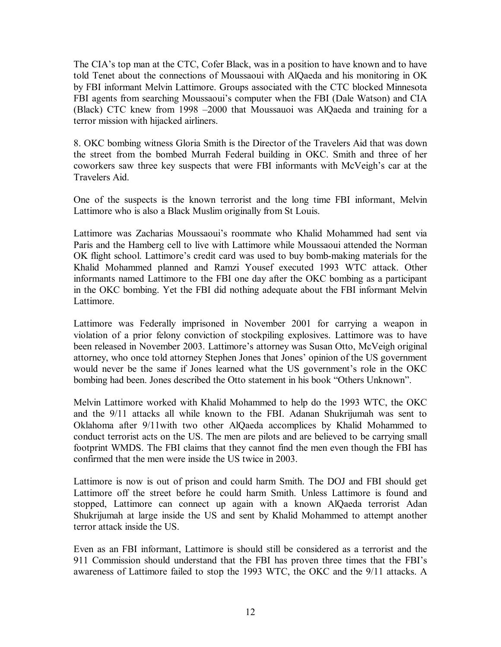The CIA's top man at the CTC, Cofer Black, was in a position to have known and to have told Tenet about the connections of Moussaoui with AlQaeda and his monitoring in OK by FBI informant Melvin Lattimore. Groups associated with the CTC blocked Minnesota FBI agents from searching Moussaoui's computer when the FBI (Dale Watson) and CIA (Black) CTC knew from 1998 –2000 that Moussauoi was AlQaeda and training for a terror mission with hijacked airliners.

8. OKC bombing witness Gloria Smith is the Director of the Travelers Aid that was down the street from the bombed Murrah Federal building in OKC. Smith and three of her coworkers saw three key suspects that were FBI informants with McVeigh's car at the Travelers Aid.

One of the suspects is the known terrorist and the long time FBI informant, Melvin Lattimore who is also a Black Muslim originally from St Louis.

Lattimore was Zacharias Moussaoui's roommate who Khalid Mohammed had sent via Paris and the Hamberg cell to live with Lattimore while Moussaoui attended the Norman OK flight school. Lattimore's credit card was used to buy bomb-making materials for the Khalid Mohammed planned and Ramzi Yousef executed 1993 WTC attack. Other informants named Lattimore to the FBI one day after the OKC bombing as a participant in the OKC bombing. Yet the FBI did nothing adequate about the FBI informant Melvin Lattimore.

Lattimore was Federally imprisoned in November 2001 for carrying a weapon in violation of a prior felony conviction of stockpiling explosives. Lattimore was to have been released in November 2003. Lattimore's attorney was Susan Otto, McVeigh original attorney, who once told attorney Stephen Jones that Jones' opinion of the US government would never be the same if Jones learned what the US government's role in the OKC bombing had been. Jones described the Otto statement in his book "Others Unknown".

Melvin Lattimore worked with Khalid Mohammed to help do the 1993 WTC, the OKC and the 9/11 attacks all while known to the FBI. Adanan Shukrijumah was sent to Oklahoma after 9/11with two other AlQaeda accomplices by Khalid Mohammed to conduct terrorist acts on the US. The men are pilots and are believed to be carrying small footprint WMDS. The FBI claims that they cannot find the men even though the FBI has confirmed that the men were inside the US twice in 2003.

Lattimore is now is out of prison and could harm Smith. The DOJ and FBI should get Lattimore off the street before he could harm Smith. Unless Lattimore is found and stopped, Lattimore can connect up again with a known AlQaeda terrorist Adan Shukrijumah at large inside the US and sent by Khalid Mohammed to attempt another terror attack inside the US.

Even as an FBI informant, Lattimore is should still be considered as a terrorist and the 911 Commission should understand that the FBI has proven three times that the FBI's awareness of Lattimore failed to stop the 1993 WTC, the OKC and the 9/11 attacks. A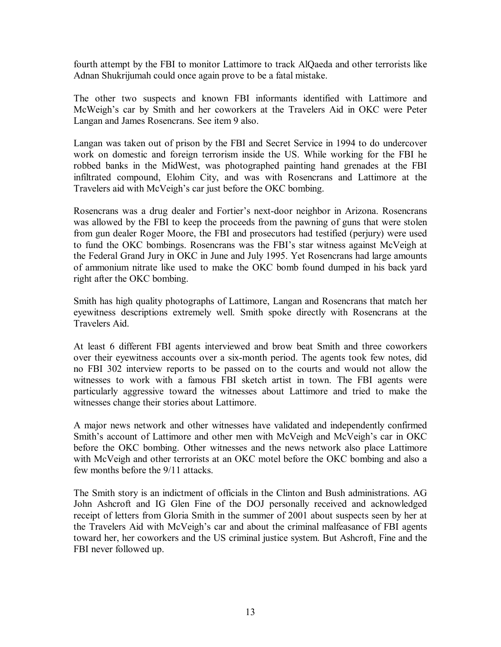fourth attempt by the FBI to monitor Lattimore to track AlQaeda and other terrorists like Adnan Shukrijumah could once again prove to be a fatal mistake.

The other two suspects and known FBI informants identified with Lattimore and McWeigh's car by Smith and her coworkers at the Travelers Aid in OKC were Peter Langan and James Rosencrans. See item 9 also.

Langan was taken out of prison by the FBI and Secret Service in 1994 to do undercover work on domestic and foreign terrorism inside the US. While working for the FBI he robbed banks in the MidWest, was photographed painting hand grenades at the FBI infiltrated compound, Elohim City, and was with Rosencrans and Lattimore at the Travelers aid with McVeigh's car just before the OKC bombing.

Rosencrans was a drug dealer and Fortier's next-door neighbor in Arizona. Rosencrans was allowed by the FBI to keep the proceeds from the pawning of guns that were stolen from gun dealer Roger Moore, the FBI and prosecutors had testified (perjury) were used to fund the OKC bombings. Rosencrans was the FBI's star witness against McVeigh at the Federal Grand Jury in OKC in June and July 1995. Yet Rosencrans had large amounts of ammonium nitrate like used to make the OKC bomb found dumped in his back yard right after the OKC bombing.

Smith has high quality photographs of Lattimore, Langan and Rosencrans that match her eyewitness descriptions extremely well. Smith spoke directly with Rosencrans at the Travelers Aid.

At least 6 different FBI agents interviewed and brow beat Smith and three coworkers over their eyewitness accounts over a six-month period. The agents took few notes, did no FBI 302 interview reports to be passed on to the courts and would not allow the witnesses to work with a famous FBI sketch artist in town. The FBI agents were particularly aggressive toward the witnesses about Lattimore and tried to make the witnesses change their stories about Lattimore.

A major news network and other witnesses have validated and independently confirmed Smith's account of Lattimore and other men with McVeigh and McVeigh's car in OKC before the OKC bombing. Other witnesses and the news network also place Lattimore with McVeigh and other terrorists at an OKC motel before the OKC bombing and also a few months before the 9/11 attacks.

The Smith story is an indictment of officials in the Clinton and Bush administrations. AG John Ashcroft and IG Glen Fine of the DOJ personally received and acknowledged receipt of letters from Gloria Smith in the summer of 2001 about suspects seen by her at the Travelers Aid with McVeigh's car and about the criminal malfeasance of FBI agents toward her, her coworkers and the US criminal justice system. But Ashcroft, Fine and the FBI never followed up.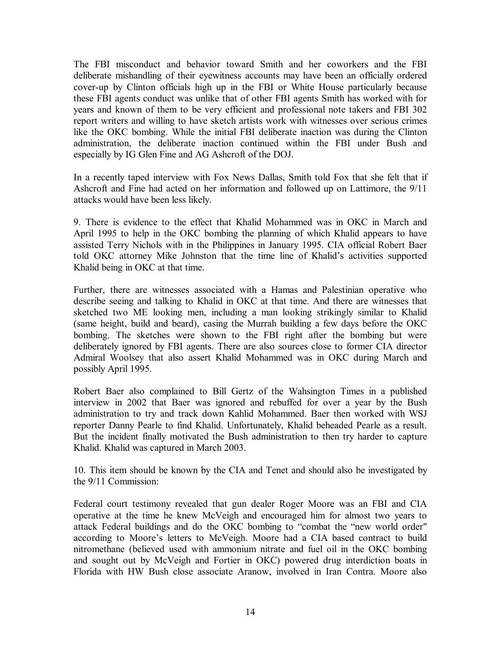The FBI misconduct and behavior toward Smith and her coworkers and the FBI deliberate mishandling of their eyewitness accounts may have been an officially ordered cover-up by Clinton officials high up in the FBI or White House particularly because these FBI agents conduct was unlike that of other FBI agents Smith has worked with for years and known of them to be very efficient and professional note takers and FBI 302 report writers and willing to have sketch artists work with witnesses over serious crimes like the OKC bombing. While the initial FBI deliberate inaction was during the Clinton administration, the deliberate inaction continued within the FBI under Bush and especially by IG Glen Fine and AG Ashcroft of the DOJ.

In a recently taped interview with Fox News Dallas, Smith told Fox that she felt that if Ashcroft and Fine had acted on her information and followed up on Lattimore, the 9/11 attacks would have been less likely.

9. There is evidence to the effect that Khalid Mohammed was in OKC in March and April 1995 to help in the OKC bombing the planning of which Khalid appears to have assisted Terry Nichols with in the Philippines in January 1995. CIA official Robert Baer told OKC attorney Mike Johnston that the time line of Khalid's activities supported Khalid being in OKC at that time.

Further, there are witnesses associated with a Hamas and Palestinian operative who describe seeing and talking to Khalid in OKC at that time. And there are witnesses that sketched two ME looking men, including a man looking strikingly similar to Khalid (same height, build and beard), casing the Murrah building a few days before the OKC bombing. The sketches were shown to the FBI right after the bombing but were deliberately ignored by FBI agents. There are also sources close to former CIA director Admiral Woolsey that also assert Khalid Mohammed was in OKC during March and possibly April 1995.

Robert Baer also complained to Bill Gertz of the Wahsington Times in a published interview in 2002 that Baer was ignored and rebuffed for over a year by the Bush administration to try and track down Kahlid Mohammed. Baer then worked with WSJ reporter Danny Pearle to find Khalid. Unfortunately, Khalid beheaded Pearle as a result. But the incident finally motivated the Bush administration to then try harder to capture Khalid. Khalid was captured in March 2003.

10. This item should be known by the CIA and Tenet and should also be investigated by the 9/11 Commission:

Federal court testimony revealed that gun dealer Roger Moore was an FBI and CIA operative at the time he knew McVeigh and encouraged him for almost two years to attack Federal buildings and do the OKC bombing to "combat the "new world order" according to Moore's letters to McVeigh. Moore had a CIA based contract to build nitromethane (believed used with ammonium nitrate and fuel oil in the OKC bombing and sought out by McVeigh and Fortier in OKC) powered drug interdiction boats in Florida with HW Bush close associate Aranow, involved in Iran Contra. Moore also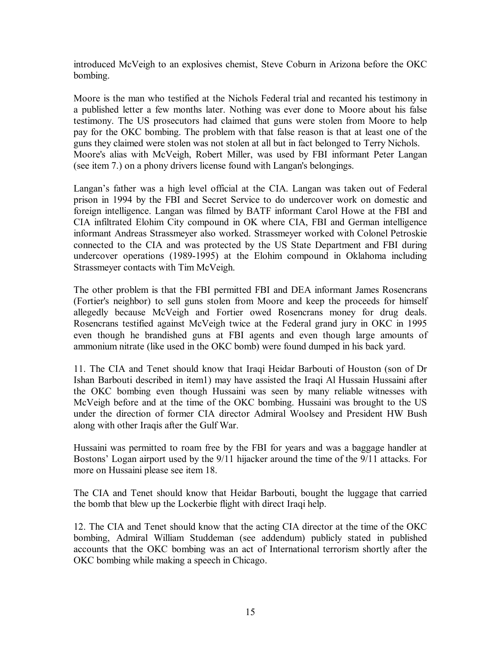introduced McVeigh to an explosives chemist, Steve Coburn in Arizona before the OKC bombing.

Moore is the man who testified at the Nichols Federal trial and recanted his testimony in a published letter a few months later. Nothing was ever done to Moore about his false testimony. The US prosecutors had claimed that guns were stolen from Moore to help pay for the OKC bombing. The problem with that false reason is that at least one of the guns they claimed were stolen was not stolen at all but in fact belonged to Terry Nichols. Moore's alias with McVeigh, Robert Miller, was used by FBI informant Peter Langan (see item 7.) on a phony drivers license found with Langan's belongings.

Langan's father was a high level official at the CIA. Langan was taken out of Federal prison in 1994 by the FBI and Secret Service to do undercover work on domestic and foreign intelligence. Langan was filmed by BATF informant Carol Howe at the FBI and CIA infiltrated Elohim City compound in OK where CIA, FBI and German intelligence informant Andreas Strassmeyer also worked. Strassmeyer worked with Colonel Petroskie connected to the CIA and was protected by the US State Department and FBI during undercover operations (1989-1995) at the Elohim compound in Oklahoma including Strassmeyer contacts with Tim McVeigh.

The other problem is that the FBI permitted FBI and DEA informant James Rosencrans (Fortier's neighbor) to sell guns stolen from Moore and keep the proceeds for himself allegedly because McVeigh and Fortier owed Rosencrans money for drug deals. Rosencrans testified against McVeigh twice at the Federal grand jury in OKC in 1995 even though he brandished guns at FBI agents and even though large amounts of ammonium nitrate (like used in the OKC bomb) were found dumped in his back yard.

11. The CIA and Tenet should know that Iraqi Heidar Barbouti of Houston (son of Dr Ishan Barbouti described in item1) may have assisted the Iraqi Al Hussain Hussaini after the OKC bombing even though Hussaini was seen by many reliable witnesses with McVeigh before and at the time of the OKC bombing. Hussaini was brought to the US under the direction of former CIA director Admiral Woolsey and President HW Bush along with other Iraqis after the Gulf War.

Hussaini was permitted to roam free by the FBI for years and was a baggage handler at Bostons' Logan airport used by the 9/11 hijacker around the time of the 9/11 attacks. For more on Hussaini please see item 18.

The CIA and Tenet should know that Heidar Barbouti, bought the luggage that carried the bomb that blew up the Lockerbie flight with direct Iraqi help.

12. The CIA and Tenet should know that the acting CIA director at the time of the OKC bombing, Admiral William Studdeman (see addendum) publicly stated in published accounts that the OKC bombing was an act of International terrorism shortly after the OKC bombing while making a speech in Chicago.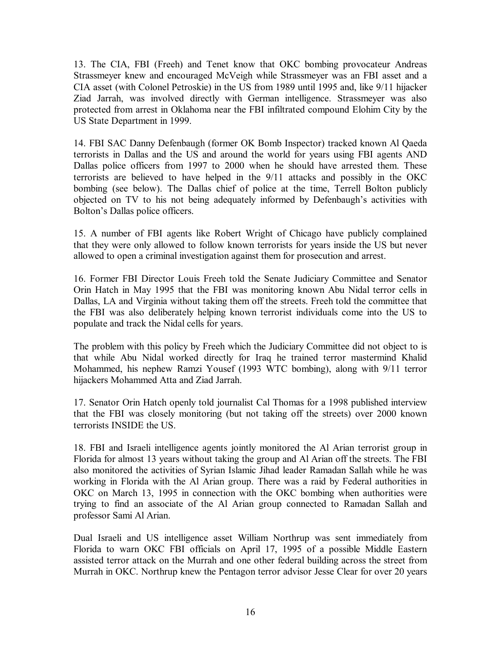13. The CIA, FBI (Freeh) and Tenet know that OKC bombing provocateur Andreas Strassmeyer knew and encouraged McVeigh while Strassmeyer was an FBI asset and a CIA asset (with Colonel Petroskie) in the US from 1989 until 1995 and, like 9/11 hijacker Ziad Jarrah, was involved directly with German intelligence. Strassmeyer was also protected from arrest in Oklahoma near the FBI infiltrated compound Elohim City by the US State Department in 1999.

14. FBI SAC Danny Defenbaugh (former OK Bomb Inspector) tracked known Al Qaeda terrorists in Dallas and the US and around the world for years using FBI agents AND Dallas police officers from 1997 to 2000 when he should have arrested them. These terrorists are believed to have helped in the 9/11 attacks and possibly in the OKC bombing (see below). The Dallas chief of police at the time, Terrell Bolton publicly objected on TV to his not being adequately informed by Defenbaugh's activities with Bolton's Dallas police officers.

15. A number of FBI agents like Robert Wright of Chicago have publicly complained that they were only allowed to follow known terrorists for years inside the US but never allowed to open a criminal investigation against them for prosecution and arrest.

16. Former FBI Director Louis Freeh told the Senate Judiciary Committee and Senator Orin Hatch in May 1995 that the FBI was monitoring known Abu Nidal terror cells in Dallas, LA and Virginia without taking them off the streets. Freeh told the committee that the FBI was also deliberately helping known terrorist individuals come into the US to populate and track the Nidal cells for years.

The problem with this policy by Freeh which the Judiciary Committee did not object to is that while Abu Nidal worked directly for Iraq he trained terror mastermind Khalid Mohammed, his nephew Ramzi Yousef (1993 WTC bombing), along with 9/11 terror hijackers Mohammed Atta and Ziad Jarrah.

17. Senator Orin Hatch openly told journalist Cal Thomas for a 1998 published interview that the FBI was closely monitoring (but not taking off the streets) over 2000 known terrorists INSIDE the US.

18. FBI and Israeli intelligence agents jointly monitored the Al Arian terrorist group in Florida for almost 13 years without taking the group and Al Arian off the streets. The FBI also monitored the activities of Syrian Islamic Jihad leader Ramadan Sallah while he was working in Florida with the Al Arian group. There was a raid by Federal authorities in OKC on March 13, 1995 in connection with the OKC bombing when authorities were trying to find an associate of the Al Arian group connected to Ramadan Sallah and professor Sami Al Arian.

Dual Israeli and US intelligence asset William Northrup was sent immediately from Florida to warn OKC FBI officials on April 17, 1995 of a possible Middle Eastern assisted terror attack on the Murrah and one other federal building across the street from Murrah in OKC. Northrup knew the Pentagon terror advisor Jesse Clear for over 20 years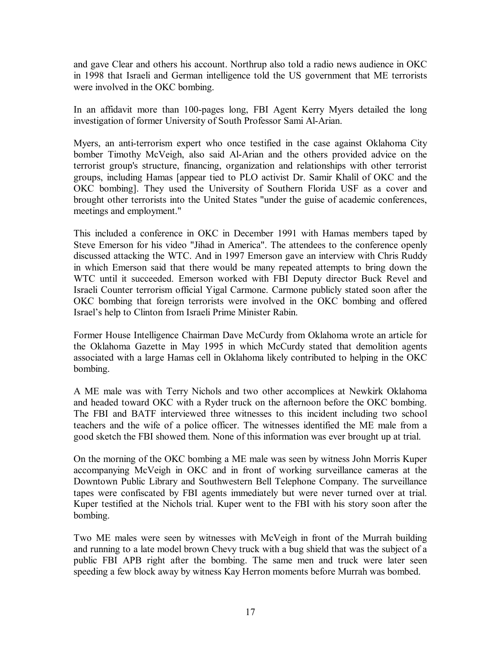and gave Clear and others his account. Northrup also told a radio news audience in OKC in 1998 that Israeli and German intelligence told the US government that ME terrorists were involved in the OKC bombing.

In an affidavit more than 100-pages long, FBI Agent Kerry Myers detailed the long investigation of former University of South Professor Sami Al-Arian.

Myers, an anti-terrorism expert who once testified in the case against Oklahoma City bomber Timothy McVeigh, also said Al-Arian and the others provided advice on the terrorist group's structure, financing, organization and relationships with other terrorist groups, including Hamas [appear tied to PLO activist Dr. Samir Khalil of OKC and the OKC bombing]. They used the University of Southern Florida USF as a cover and brought other terrorists into the United States "under the guise of academic conferences, meetings and employment."

This included a conference in OKC in December 1991 with Hamas members taped by Steve Emerson for his video "Jihad in America". The attendees to the conference openly discussed attacking the WTC. And in 1997 Emerson gave an interview with Chris Ruddy in which Emerson said that there would be many repeated attempts to bring down the WTC until it succeeded. Emerson worked with FBI Deputy director Buck Revel and Israeli Counter terrorism official Yigal Carmone. Carmone publicly stated soon after the OKC bombing that foreign terrorists were involved in the OKC bombing and offered Israel's help to Clinton from Israeli Prime Minister Rabin.

Former House Intelligence Chairman Dave McCurdy from Oklahoma wrote an article for the Oklahoma Gazette in May 1995 in which McCurdy stated that demolition agents associated with a large Hamas cell in Oklahoma likely contributed to helping in the OKC bombing.

A ME male was with Terry Nichols and two other accomplices at Newkirk Oklahoma and headed toward OKC with a Ryder truck on the afternoon before the OKC bombing. The FBI and BATF interviewed three witnesses to this incident including two school teachers and the wife of a police officer. The witnesses identified the ME male from a good sketch the FBI showed them. None of this information was ever brought up at trial.

On the morning of the OKC bombing a ME male was seen by witness John Morris Kuper accompanying McVeigh in OKC and in front of working surveillance cameras at the Downtown Public Library and Southwestern Bell Telephone Company. The surveillance tapes were confiscated by FBI agents immediately but were never turned over at trial. Kuper testified at the Nichols trial. Kuper went to the FBI with his story soon after the bombing.

Two ME males were seen by witnesses with McVeigh in front of the Murrah building and running to a late model brown Chevy truck with a bug shield that was the subject of a public FBI APB right after the bombing. The same men and truck were later seen speeding a few block away by witness Kay Herron moments before Murrah was bombed.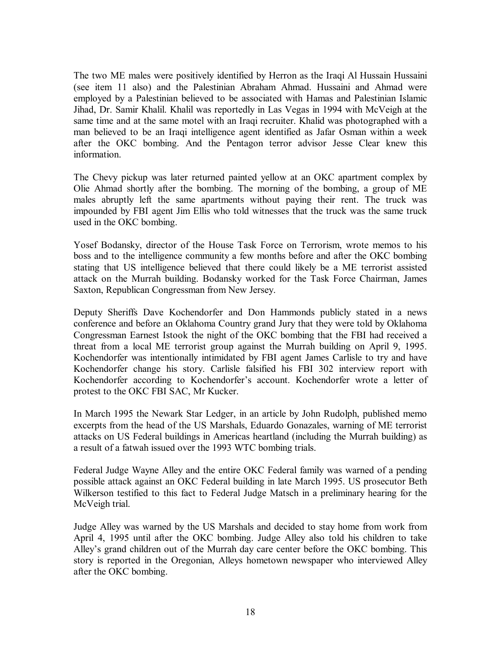The two ME males were positively identified by Herron as the Iraqi Al Hussain Hussaini (see item 11 also) and the Palestinian Abraham Ahmad. Hussaini and Ahmad were employed by a Palestinian believed to be associated with Hamas and Palestinian Islamic Jihad, Dr. Samir Khalil. Khalil was reportedly in Las Vegas in 1994 with McVeigh at the same time and at the same motel with an Iraqi recruiter. Khalid was photographed with a man believed to be an Iraqi intelligence agent identified as Jafar Osman within a week after the OKC bombing. And the Pentagon terror advisor Jesse Clear knew this information.

The Chevy pickup was later returned painted yellow at an OKC apartment complex by Olie Ahmad shortly after the bombing. The morning of the bombing, a group of ME males abruptly left the same apartments without paying their rent. The truck was impounded by FBI agent Jim Ellis who told witnesses that the truck was the same truck used in the OKC bombing.

Yosef Bodansky, director of the House Task Force on Terrorism, wrote memos to his boss and to the intelligence community a few months before and after the OKC bombing stating that US intelligence believed that there could likely be a ME terrorist assisted attack on the Murrah building. Bodansky worked for the Task Force Chairman, James Saxton, Republican Congressman from New Jersey.

Deputy Sheriffs Dave Kochendorfer and Don Hammonds publicly stated in a news conference and before an Oklahoma Country grand Jury that they were told by Oklahoma Congressman Earnest Istook the night of the OKC bombing that the FBI had received a threat from a local ME terrorist group against the Murrah building on April 9, 1995. Kochendorfer was intentionally intimidated by FBI agent James Carlisle to try and have Kochendorfer change his story. Carlisle falsified his FBI 302 interview report with Kochendorfer according to Kochendorfer's account. Kochendorfer wrote a letter of protest to the OKC FBI SAC, Mr Kucker.

In March 1995 the Newark Star Ledger, in an article by John Rudolph, published memo excerpts from the head of the US Marshals, Eduardo Gonazales, warning of ME terrorist attacks on US Federal buildings in Americas heartland (including the Murrah building) as a result of a fatwah issued over the 1993 WTC bombing trials.

Federal Judge Wayne Alley and the entire OKC Federal family was warned of a pending possible attack against an OKC Federal building in late March 1995. US prosecutor Beth Wilkerson testified to this fact to Federal Judge Matsch in a preliminary hearing for the McVeigh trial.

Judge Alley was warned by the US Marshals and decided to stay home from work from April 4, 1995 until after the OKC bombing. Judge Alley also told his children to take Alley's grand children out of the Murrah day care center before the OKC bombing. This story is reported in the Oregonian, Alleys hometown newspaper who interviewed Alley after the OKC bombing.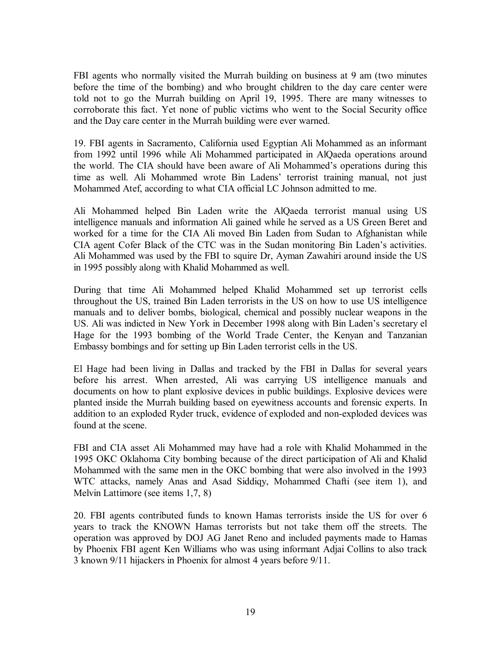FBI agents who normally visited the Murrah building on business at 9 am (two minutes before the time of the bombing) and who brought children to the day care center were told not to go the Murrah building on April 19, 1995. There are many witnesses to corroborate this fact. Yet none of public victims who went to the Social Security office and the Day care center in the Murrah building were ever warned.

19. FBI agents in Sacramento, California used Egyptian Ali Mohammed as an informant from 1992 until 1996 while Ali Mohammed participated in AlQaeda operations around the world. The CIA should have been aware of Ali Mohammed's operations during this time as well. Ali Mohammed wrote Bin Ladens' terrorist training manual, not just Mohammed Atef, according to what CIA official LC Johnson admitted to me.

Ali Mohammed helped Bin Laden write the AlQaeda terrorist manual using US intelligence manuals and information Ali gained while he served as a US Green Beret and worked for a time for the CIA Ali moved Bin Laden from Sudan to Afghanistan while CIA agent Cofer Black of the CTC was in the Sudan monitoring Bin Laden's activities. Ali Mohammed was used by the FBI to squire Dr, Ayman Zawahiri around inside the US in 1995 possibly along with Khalid Mohammed as well.

During that time Ali Mohammed helped Khalid Mohammed set up terrorist cells throughout the US, trained Bin Laden terrorists in the US on how to use US intelligence manuals and to deliver bombs, biological, chemical and possibly nuclear weapons in the US. Ali was indicted in New York in December 1998 along with Bin Laden's secretary el Hage for the 1993 bombing of the World Trade Center, the Kenyan and Tanzanian Embassy bombings and for setting up Bin Laden terrorist cells in the US.

El Hage had been living in Dallas and tracked by the FBI in Dallas for several years before his arrest. When arrested, Ali was carrying US intelligence manuals and documents on how to plant explosive devices in public buildings. Explosive devices were planted inside the Murrah building based on eyewitness accounts and forensic experts. In addition to an exploded Ryder truck, evidence of exploded and non-exploded devices was found at the scene.

FBI and CIA asset Ali Mohammed may have had a role with Khalid Mohammed in the 1995 OKC Oklahoma City bombing because of the direct participation of Ali and Khalid Mohammed with the same men in the OKC bombing that were also involved in the 1993 WTC attacks, namely Anas and Asad Siddiqy, Mohammed Chafti (see item 1), and Melvin Lattimore (see items 1,7, 8)

20. FBI agents contributed funds to known Hamas terrorists inside the US for over 6 years to track the KNOWN Hamas terrorists but not take them off the streets. The operation was approved by DOJ AG Janet Reno and included payments made to Hamas by Phoenix FBI agent Ken Williams who was using informant Adjai Collins to also track 3 known 9/11 hijackers in Phoenix for almost 4 years before 9/11.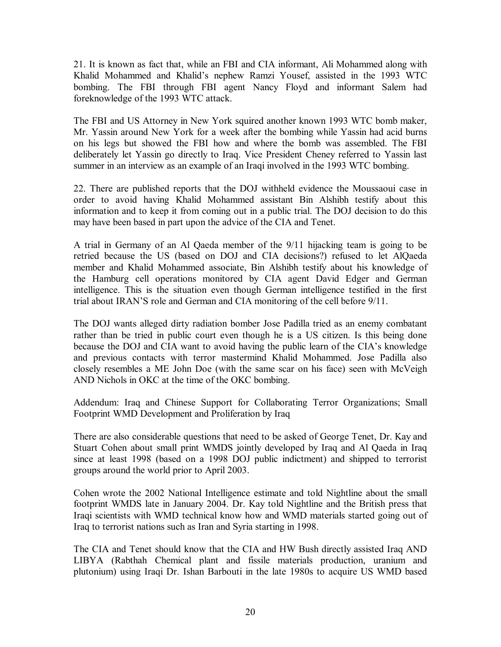21. It is known as fact that, while an FBI and CIA informant, Ali Mohammed along with Khalid Mohammed and Khalid's nephew Ramzi Yousef, assisted in the 1993 WTC bombing. The FBI through FBI agent Nancy Floyd and informant Salem had foreknowledge of the 1993 WTC attack.

The FBI and US Attorney in New York squired another known 1993 WTC bomb maker, Mr. Yassin around New York for a week after the bombing while Yassin had acid burns on his legs but showed the FBI how and where the bomb was assembled. The FBI deliberately let Yassin go directly to Iraq. Vice President Cheney referred to Yassin last summer in an interview as an example of an Iraqi involved in the 1993 WTC bombing.

22. There are published reports that the DOJ withheld evidence the Moussaoui case in order to avoid having Khalid Mohammed assistant Bin Alshibh testify about this information and to keep it from coming out in a public trial. The DOJ decision to do this may have been based in part upon the advice of the CIA and Tenet.

A trial in Germany of an Al Qaeda member of the 9/11 hijacking team is going to be retried because the US (based on DOJ and CIA decisions?) refused to let AlQaeda member and Khalid Mohammed associate, Bin Alshibh testify about his knowledge of the Hamburg cell operations monitored by CIA agent David Edger and German intelligence. This is the situation even though German intelligence testified in the first trial about IRAN'S role and German and CIA monitoring of the cell before 9/11.

The DOJ wants alleged dirty radiation bomber Jose Padilla tried as an enemy combatant rather than be tried in public court even though he is a US citizen. Is this being done because the DOJ and CIA want to avoid having the public learn of the CIA's knowledge and previous contacts with terror mastermind Khalid Mohammed. Jose Padilla also closely resembles a ME John Doe (with the same scar on his face) seen with McVeigh AND Nichols in OKC at the time of the OKC bombing.

Addendum: Iraq and Chinese Support for Collaborating Terror Organizations; Small Footprint WMD Development and Proliferation by Iraq

There are also considerable questions that need to be asked of George Tenet, Dr. Kay and Stuart Cohen about small print WMDS jointly developed by Iraq and Al Qaeda in Iraq since at least 1998 (based on a 1998 DOJ public indictment) and shipped to terrorist groups around the world prior to April 2003.

Cohen wrote the 2002 National Intelligence estimate and told Nightline about the small footprint WMDS late in January 2004. Dr. Kay told Nightline and the British press that Iraqi scientists with WMD technical know how and WMD materials started going out of Iraq to terrorist nations such as Iran and Syria starting in 1998.

The CIA and Tenet should know that the CIA and HW Bush directly assisted Iraq AND LIBYA (Rabthah Chemical plant and fissile materials production, uranium and plutonium) using Iraqi Dr. Ishan Barbouti in the late 1980s to acquire US WMD based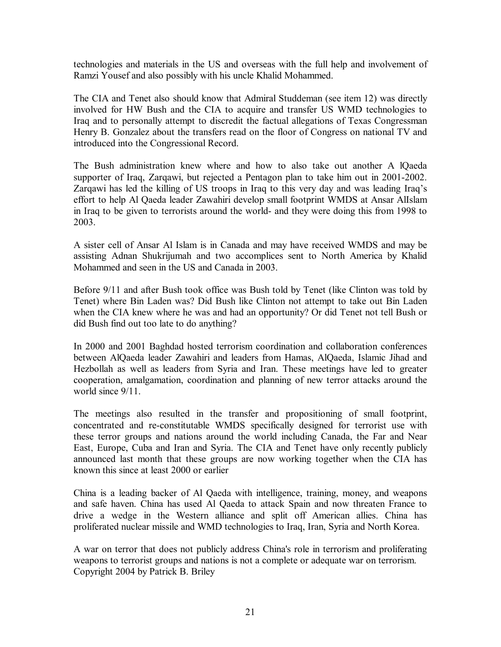technologies and materials in the US and overseas with the full help and involvement of Ramzi Yousef and also possibly with his uncle Khalid Mohammed.

The CIA and Tenet also should know that Admiral Studdeman (see item 12) was directly involved for HW Bush and the CIA to acquire and transfer US WMD technologies to Iraq and to personally attempt to discredit the factual allegations of Texas Congressman Henry B. Gonzalez about the transfers read on the floor of Congress on national TV and introduced into the Congressional Record.

The Bush administration knew where and how to also take out another A lQaeda supporter of Iraq, Zarqawi, but rejected a Pentagon plan to take him out in 2001-2002. Zarqawi has led the killing of US troops in Iraq to this very day and was leading Iraq's effort to help Al Qaeda leader Zawahiri develop small footprint WMDS at Ansar AlIslam in Iraq to be given to terrorists around the world- and they were doing this from 1998 to 2003.

A sister cell of Ansar Al Islam is in Canada and may have received WMDS and may be assisting Adnan Shukrijumah and two accomplices sent to North America by Khalid Mohammed and seen in the US and Canada in 2003.

Before 9/11 and after Bush took office was Bush told by Tenet (like Clinton was told by Tenet) where Bin Laden was? Did Bush like Clinton not attempt to take out Bin Laden when the CIA knew where he was and had an opportunity? Or did Tenet not tell Bush or did Bush find out too late to do anything?

In 2000 and 2001 Baghdad hosted terrorism coordination and collaboration conferences between AlQaeda leader Zawahiri and leaders from Hamas, AlQaeda, Islamic Jihad and Hezbollah as well as leaders from Syria and Iran. These meetings have led to greater cooperation, amalgamation, coordination and planning of new terror attacks around the world since 9/11.

The meetings also resulted in the transfer and propositioning of small footprint, concentrated and re-constitutable WMDS specifically designed for terrorist use with these terror groups and nations around the world including Canada, the Far and Near East, Europe, Cuba and Iran and Syria. The CIA and Tenet have only recently publicly announced last month that these groups are now working together when the CIA has known this since at least 2000 or earlier

China is a leading backer of Al Qaeda with intelligence, training, money, and weapons and safe haven. China has used Al Qaeda to attack Spain and now threaten France to drive a wedge in the Western alliance and split off American allies. China has proliferated nuclear missile and WMD technologies to Iraq, Iran, Syria and North Korea.

A war on terror that does not publicly address China's role in terrorism and proliferating weapons to terrorist groups and nations is not a complete or adequate war on terrorism. Copyright 2004 by Patrick B. Briley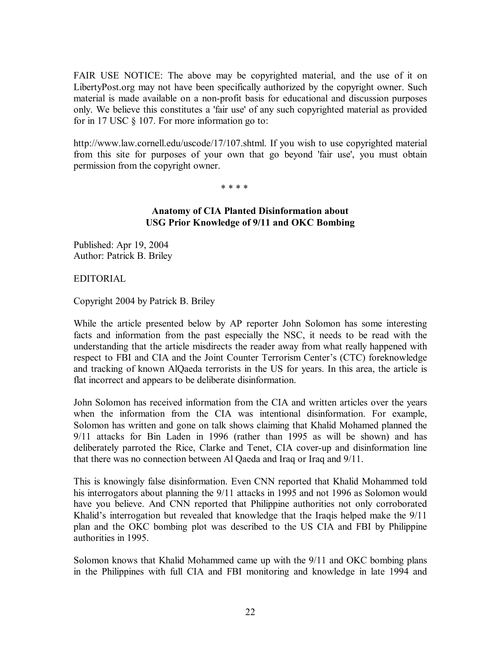FAIR USE NOTICE: The above may be copyrighted material, and the use of it on LibertyPost.org may not have been specifically authorized by the copyright owner. Such material is made available on a non-profit basis for educational and discussion purposes only. We believe this constitutes a 'fair use' of any such copyrighted material as provided for in 17 USC § 107. For more information go to:

http://www.law.cornell.edu/uscode/17/107.shtml. If you wish to use copyrighted material from this site for purposes of your own that go beyond 'fair use', you must obtain permission from the copyright owner.

\* \* \* \*

## **Anatomy of CIA Planted Disinformation about USG Prior Knowledge of 9/11 and OKC Bombing**

Published: Apr 19, 2004 Author: Patrick B. Briley

EDITORIAL

Copyright 2004 by Patrick B. Briley

While the article presented below by AP reporter John Solomon has some interesting facts and information from the past especially the NSC, it needs to be read with the understanding that the article misdirects the reader away from what really happened with respect to FBI and CIA and the Joint Counter Terrorism Center's (CTC) foreknowledge and tracking of known AlQaeda terrorists in the US for years. In this area, the article is flat incorrect and appears to be deliberate disinformation.

John Solomon has received information from the CIA and written articles over the years when the information from the CIA was intentional disinformation. For example, Solomon has written and gone on talk shows claiming that Khalid Mohamed planned the 9/11 attacks for Bin Laden in 1996 (rather than 1995 as will be shown) and has deliberately parroted the Rice, Clarke and Tenet, CIA cover-up and disinformation line that there was no connection between Al Qaeda and Iraq or Iraq and 9/11.

This is knowingly false disinformation. Even CNN reported that Khalid Mohammed told his interrogators about planning the 9/11 attacks in 1995 and not 1996 as Solomon would have you believe. And CNN reported that Philippine authorities not only corroborated Khalid's interrogation but revealed that knowledge that the Iraqis helped make the 9/11 plan and the OKC bombing plot was described to the US CIA and FBI by Philippine authorities in 1995.

Solomon knows that Khalid Mohammed came up with the 9/11 and OKC bombing plans in the Philippines with full CIA and FBI monitoring and knowledge in late 1994 and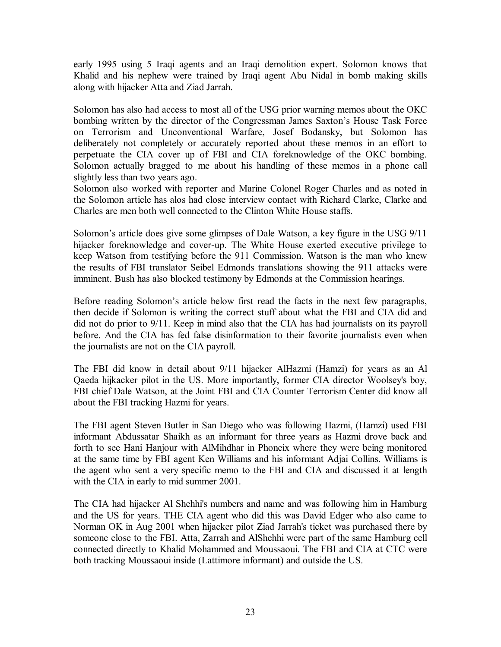early 1995 using 5 Iraqi agents and an Iraqi demolition expert. Solomon knows that Khalid and his nephew were trained by Iraqi agent Abu Nidal in bomb making skills along with hijacker Atta and Ziad Jarrah.

Solomon has also had access to most all of the USG prior warning memos about the OKC bombing written by the director of the Congressman James Saxton's House Task Force on Terrorism and Unconventional Warfare, Josef Bodansky, but Solomon has deliberately not completely or accurately reported about these memos in an effort to perpetuate the CIA cover up of FBI and CIA foreknowledge of the OKC bombing. Solomon actually bragged to me about his handling of these memos in a phone call slightly less than two years ago.

Solomon also worked with reporter and Marine Colonel Roger Charles and as noted in the Solomon article has alos had close interview contact with Richard Clarke, Clarke and Charles are men both well connected to the Clinton White House staffs.

Solomon's article does give some glimpses of Dale Watson, a key figure in the USG 9/11 hijacker foreknowledge and cover-up. The White House exerted executive privilege to keep Watson from testifying before the 911 Commission. Watson is the man who knew the results of FBI translator Seibel Edmonds translations showing the 911 attacks were imminent. Bush has also blocked testimony by Edmonds at the Commission hearings.

Before reading Solomon's article below first read the facts in the next few paragraphs, then decide if Solomon is writing the correct stuff about what the FBI and CIA did and did not do prior to 9/11. Keep in mind also that the CIA has had journalists on its payroll before. And the CIA has fed false disinformation to their favorite journalists even when the journalists are not on the CIA payroll.

The FBI did know in detail about 9/11 hijacker AlHazmi (Hamzi) for years as an Al Qaeda hijkacker pilot in the US. More importantly, former CIA director Woolsey's boy, FBI chief Dale Watson, at the Joint FBI and CIA Counter Terrorism Center did know all about the FBI tracking Hazmi for years.

The FBI agent Steven Butler in San Diego who was following Hazmi, (Hamzi) used FBI informant Abdussatar Shaikh as an informant for three years as Hazmi drove back and forth to see Hani Hanjour with AlMihdhar in Phoneix where they were being monitored at the same time by FBI agent Ken Williams and his informant Adjai Collins. Williams is the agent who sent a very specific memo to the FBI and CIA and discussed it at length with the CIA in early to mid summer 2001.

The CIA had hijacker Al Shehhi's numbers and name and was following him in Hamburg and the US for years. THE CIA agent who did this was David Edger who also came to Norman OK in Aug 2001 when hijacker pilot Ziad Jarrah's ticket was purchased there by someone close to the FBI. Atta, Zarrah and AlShehhi were part of the same Hamburg cell connected directly to Khalid Mohammed and Moussaoui. The FBI and CIA at CTC were both tracking Moussaoui inside (Lattimore informant) and outside the US.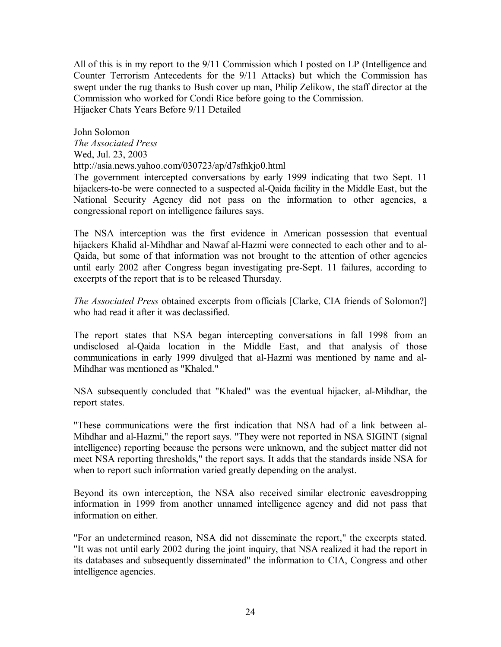All of this is in my report to the 9/11 Commission which I posted on LP (Intelligence and Counter Terrorism Antecedents for the 9/11 Attacks) but which the Commission has swept under the rug thanks to Bush cover up man, Philip Zelikow, the staff director at the Commission who worked for Condi Rice before going to the Commission. Hijacker Chats Years Before 9/11 Detailed

John Solomon *The Associated Press*  Wed, Jul. 23, 2003 http://asia.news.yahoo.com/030723/ap/d7sfhkjo0.html The government intercepted conversations by early 1999 indicating that two Sept. 11

hijackers-to-be were connected to a suspected al-Qaida facility in the Middle East, but the National Security Agency did not pass on the information to other agencies, a congressional report on intelligence failures says.

The NSA interception was the first evidence in American possession that eventual hijackers Khalid al-Mihdhar and Nawaf al-Hazmi were connected to each other and to al-Qaida, but some of that information was not brought to the attention of other agencies until early 2002 after Congress began investigating pre-Sept. 11 failures, according to excerpts of the report that is to be released Thursday.

*The Associated Press* obtained excerpts from officials [Clarke, CIA friends of Solomon?] who had read it after it was declassified.

The report states that NSA began intercepting conversations in fall 1998 from an undisclosed al-Qaida location in the Middle East, and that analysis of those communications in early 1999 divulged that al-Hazmi was mentioned by name and al-Mihdhar was mentioned as "Khaled."

NSA subsequently concluded that "Khaled" was the eventual hijacker, al-Mihdhar, the report states.

"These communications were the first indication that NSA had of a link between al-Mihdhar and al-Hazmi," the report says. "They were not reported in NSA SIGINT (signal intelligence) reporting because the persons were unknown, and the subject matter did not meet NSA reporting thresholds," the report says. It adds that the standards inside NSA for when to report such information varied greatly depending on the analyst.

Beyond its own interception, the NSA also received similar electronic eavesdropping information in 1999 from another unnamed intelligence agency and did not pass that information on either.

"For an undetermined reason, NSA did not disseminate the report," the excerpts stated. "It was not until early 2002 during the joint inquiry, that NSA realized it had the report in its databases and subsequently disseminated" the information to CIA, Congress and other intelligence agencies.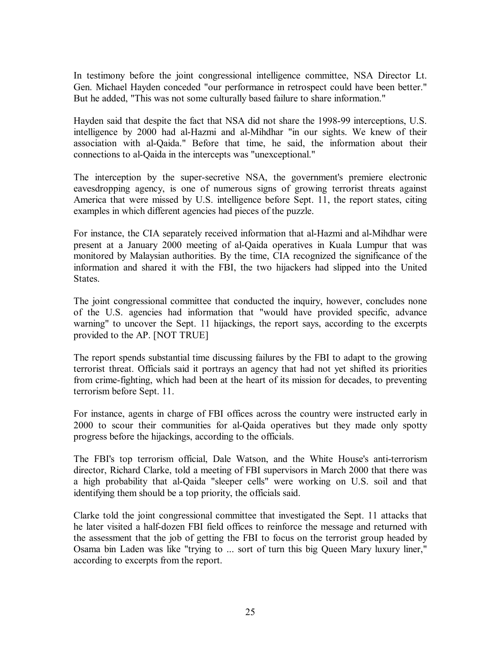In testimony before the joint congressional intelligence committee, NSA Director Lt. Gen. Michael Hayden conceded "our performance in retrospect could have been better." But he added, "This was not some culturally based failure to share information."

Hayden said that despite the fact that NSA did not share the 1998-99 interceptions, U.S. intelligence by 2000 had al-Hazmi and al-Mihdhar "in our sights. We knew of their association with al-Qaida." Before that time, he said, the information about their connections to al-Qaida in the intercepts was "unexceptional."

The interception by the super-secretive NSA, the government's premiere electronic eavesdropping agency, is one of numerous signs of growing terrorist threats against America that were missed by U.S. intelligence before Sept. 11, the report states, citing examples in which different agencies had pieces of the puzzle.

For instance, the CIA separately received information that al-Hazmi and al-Mihdhar were present at a January 2000 meeting of al-Qaida operatives in Kuala Lumpur that was monitored by Malaysian authorities. By the time, CIA recognized the significance of the information and shared it with the FBI, the two hijackers had slipped into the United States.

The joint congressional committee that conducted the inquiry, however, concludes none of the U.S. agencies had information that "would have provided specific, advance warning" to uncover the Sept. 11 hijackings, the report says, according to the excerpts provided to the AP. [NOT TRUE]

The report spends substantial time discussing failures by the FBI to adapt to the growing terrorist threat. Officials said it portrays an agency that had not yet shifted its priorities from crime-fighting, which had been at the heart of its mission for decades, to preventing terrorism before Sept. 11.

For instance, agents in charge of FBI offices across the country were instructed early in 2000 to scour their communities for al-Qaida operatives but they made only spotty progress before the hijackings, according to the officials.

The FBI's top terrorism official, Dale Watson, and the White House's anti-terrorism director, Richard Clarke, told a meeting of FBI supervisors in March 2000 that there was a high probability that al-Qaida "sleeper cells" were working on U.S. soil and that identifying them should be a top priority, the officials said.

Clarke told the joint congressional committee that investigated the Sept. 11 attacks that he later visited a half-dozen FBI field offices to reinforce the message and returned with the assessment that the job of getting the FBI to focus on the terrorist group headed by Osama bin Laden was like "trying to ... sort of turn this big Queen Mary luxury liner," according to excerpts from the report.